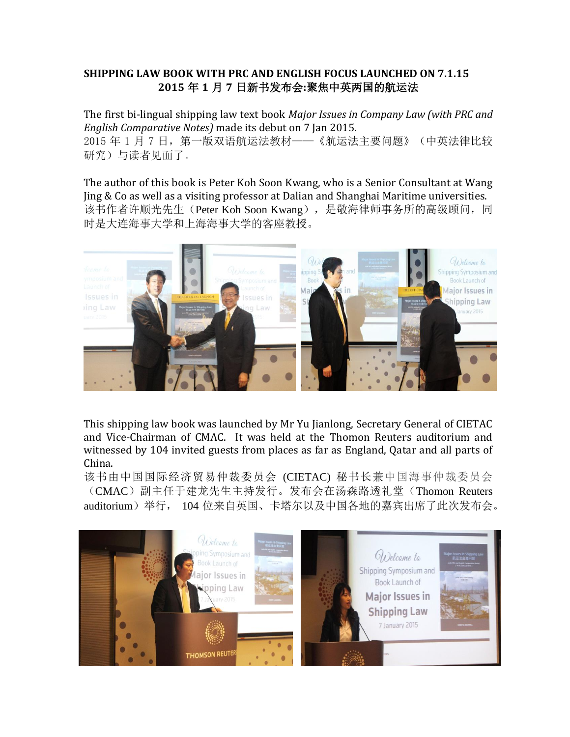## **SHIPPING LAW BOOK WITH PRC AND ENGLISH FOCUS LAUNCHED ON 7.1.15 2015** 年 **1** 月 **7** 日新书发布会**:**聚焦中英两国的航运法

The first bi-lingual shipping law text book *Major Issues in Company Law (with PRC and English Comparative Notes)* made its debut on 7 Jan 2015. 2015 年 1 月 7 日, 第一版双语航运法教材——《航运法主要问题》(中英法律比较 研究)与读者见面了。

The author of this book is Peter Koh Soon Kwang, who is a Senior Consultant at Wang Jing & Co as well as a visiting professor at Dalian and Shanghai Maritime universities. 该书作者许顺光先生 (Peter Koh Soon Kwang), 是敬海律师事务所的高级顾问, 同 时是大连海事大学和上海海事大学的客座教授。



This shipping law book was launched by Mr Yu Jianlong, Secretary General of CIETAC and Vice-Chairman of CMAC. It was held at the Thomon Reuters auditorium and witnessed by 104 invited guests from places as far as England, Qatar and all parts of China.

该书由中国国际经济贸易仲裁委员会 (CIETAC) 秘书长兼中国海事仲裁委员会 (CMAC)副主任于建龙先生主持发行。发布会在汤森路透礼堂(Thomon Reuters auditorium)举行, 104 位来自英国、卡塔尔以及中国各地的嘉宾出席了此次发布会。